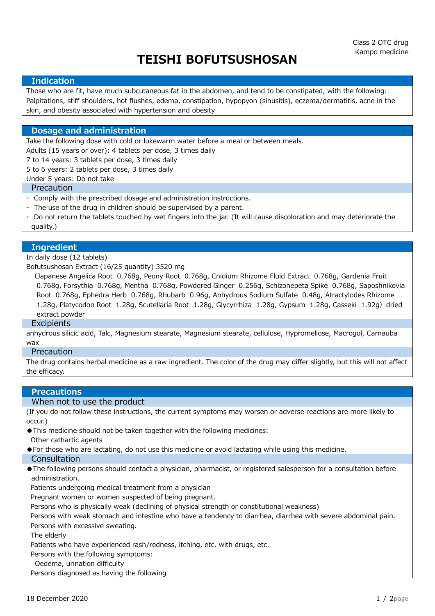# TEISHI BOFUTSUSHOSAN

#### Indication

Those who are fit, have much subcutaneous fat in the abdomen, and tend to be constipated, with the following: Palpitations, stiff shoulders, hot flushes, edema, constipation, hypopyon (sinusitis), eczema/dermatitis, acne in the skin, and obesity associated with hypertension and obesity

#### Dosage and administration

Take the following dose with cold or lukewarm water before a meal or between meals.

Adults (15 years or over): 4 tablets per dose, 3 times daily

7 to 14 years: 3 tablets per dose, 3 times daily

5 to 6 years: 2 tablets per dose, 3 times daily

Under 5 years: Do not take

#### Precaution

- ・ Comply with the prescribed dosage and administration instructions.
- $\cdot$  The use of the drug in children should be supervised by a parent.
- ・ Do not return the tablets touched by wet fingers into the jar. (It will cause discoloration and may deteriorate the quality.)

#### Ingredient

#### In daily dose (12 tablets)

Bofutsushosan Extract (16/25 quantity) 3520 mg

 (Japanese Angelica Root 0.768g, Peony Root 0.768g, Cnidium Rhizome Fluid Extract 0.768g, Gardenia Fruit 0.768g, Forsythia 0.768g, Mentha 0.768g, Powdered Ginger 0.256g, Schizonepeta Spike 0.768g, Saposhnikovia Root 0.768g, Ephedra Herb 0.768g, Rhubarb 0.96g, Anhydrous Sodium Sulfate 0.48g, Atractylodes Rhizome 1.28g, Platycodon Root 1.28g, Scutellaria Root 1.28g, Glycyrrhiza 1.28g, Gypsum 1.28g, Casseki 1.92g) dried extract powder

#### **Excipients**

anhydrous silicic acid, Talc, Magnesium stearate, Magnesium stearate, cellulose, Hypromellose, Macrogol, Carnauba wax

## **Precaution**

The drug contains herbal medicine as a raw ingredient. The color of the drug may differ slightly, but this will not affect the efficacy.

#### **Precautions**

#### When not to use the product

(If you do not follow these instructions, the current symptoms may worsen or adverse reactions are more likely to occur.)

- ●This medicine should not be taken together with the following medicines:
- Other cathartic agents
- ●For those who are lactating, do not use this medicine or avoid lactating while using this medicine.
- Consultation
- ●The following persons should contact a physician, pharmacist, or registered salesperson for a consultation before administration.

Patients undergoing medical treatment from a physician

Pregnant women or women suspected of being pregnant.

Persons who is physically weak (declining of physical strength or constitutional weakness)

 Persons with weak stomach and intestine who have a tendency to diarrhea, diarrhea with severe abdominal pain. Persons with excessive sweating.

The elderly

Patients who have experienced rash/redness, itching, etc. with drugs, etc.

Persons with the following symptoms:

Oedema, urination difficulty

Persons diagnosed as having the following